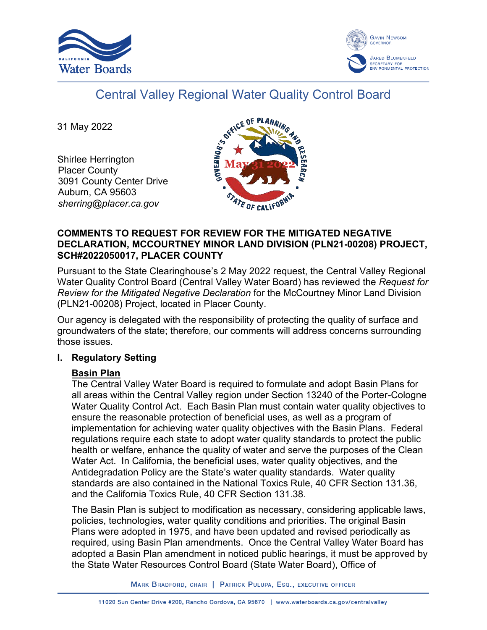



# Central Valley Regional Water Quality Control Board

31 May 2022

Shirlee Herrington Placer County 3091 County Center Drive Auburn, CA 95603 *sherring@placer.ca.gov*



## **COMMENTS TO REQUEST FOR REVIEW FOR THE MITIGATED NEGATIVE DECLARATION, MCCOURTNEY MINOR LAND DIVISION (PLN21-00208) PROJECT, SCH#2022050017, PLACER COUNTY**

Pursuant to the State Clearinghouse's 2 May 2022 request, the Central Valley Regional Water Quality Control Board (Central Valley Water Board) has reviewed the *Request for Review for the Mitigated Negative Declaration* for the McCourtney Minor Land Division (PLN21-00208) Project, located in Placer County.

Our agency is delegated with the responsibility of protecting the quality of surface and groundwaters of the state; therefore, our comments will address concerns surrounding those issues.

## **I. Regulatory Setting**

# **Basin Plan**

The Central Valley Water Board is required to formulate and adopt Basin Plans for all areas within the Central Valley region under Section 13240 of the Porter-Cologne Water Quality Control Act. Each Basin Plan must contain water quality objectives to ensure the reasonable protection of beneficial uses, as well as a program of implementation for achieving water quality objectives with the Basin Plans. Federal regulations require each state to adopt water quality standards to protect the public health or welfare, enhance the quality of water and serve the purposes of the Clean Water Act. In California, the beneficial uses, water quality objectives, and the Antidegradation Policy are the State's water quality standards. Water quality standards are also contained in the National Toxics Rule, 40 CFR Section 131.36, and the California Toxics Rule, 40 CFR Section 131.38.

The Basin Plan is subject to modification as necessary, considering applicable laws, policies, technologies, water quality conditions and priorities. The original Basin Plans were adopted in 1975, and have been updated and revised periodically as required, using Basin Plan amendments. Once the Central Valley Water Board has adopted a Basin Plan amendment in noticed public hearings, it must be approved by the State Water Resources Control Board (State Water Board), Office of

MARK BRADFORD, CHAIR | PATRICK PULUPA, ESQ., EXECUTIVE OFFICER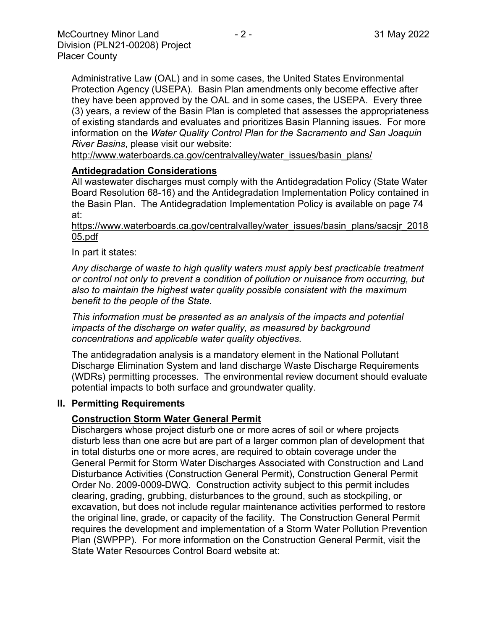Administrative Law (OAL) and in some cases, the United States Environmental Protection Agency (USEPA). Basin Plan amendments only become effective after they have been approved by the OAL and in some cases, the USEPA. Every three (3) years, a review of the Basin Plan is completed that assesses the appropriateness of existing standards and evaluates and prioritizes Basin Planning issues. For more information on the *Water Quality Control Plan for the Sacramento and San Joaquin River Basins*, please visit our website:

[http://www.waterboards.ca.gov/centralvalley/water\\_issues/basin\\_plans/](http://www.waterboards.ca.gov/centralvalley/water_issues/basin_plans/)

## **Antidegradation Considerations**

All wastewater discharges must comply with the Antidegradation Policy (State Water Board Resolution 68-16) and the Antidegradation Implementation Policy contained in the Basin Plan. The Antidegradation Implementation Policy is available on page 74 at:

#### https://www.waterboards.ca.gov/centralvalley/water\_issues/basin\_plans/sacsjr\_2018 05.pdf

## In part it states:

*Any discharge of waste to high quality waters must apply best practicable treatment or control not only to prevent a condition of pollution or nuisance from occurring, but also to maintain the highest water quality possible consistent with the maximum benefit to the people of the State.*

*This information must be presented as an analysis of the impacts and potential impacts of the discharge on water quality, as measured by background concentrations and applicable water quality objectives.*

The antidegradation analysis is a mandatory element in the National Pollutant Discharge Elimination System and land discharge Waste Discharge Requirements (WDRs) permitting processes. The environmental review document should evaluate potential impacts to both surface and groundwater quality.

## **II. Permitting Requirements**

## **Construction Storm Water General Permit**

Dischargers whose project disturb one or more acres of soil or where projects disturb less than one acre but are part of a larger common plan of development that in total disturbs one or more acres, are required to obtain coverage under the General Permit for Storm Water Discharges Associated with Construction and Land Disturbance Activities (Construction General Permit), Construction General Permit Order No. 2009-0009-DWQ. Construction activity subject to this permit includes clearing, grading, grubbing, disturbances to the ground, such as stockpiling, or excavation, but does not include regular maintenance activities performed to restore the original line, grade, or capacity of the facility. The Construction General Permit requires the development and implementation of a Storm Water Pollution Prevention Plan (SWPPP). For more information on the Construction General Permit, visit the State Water Resources Control Board website at: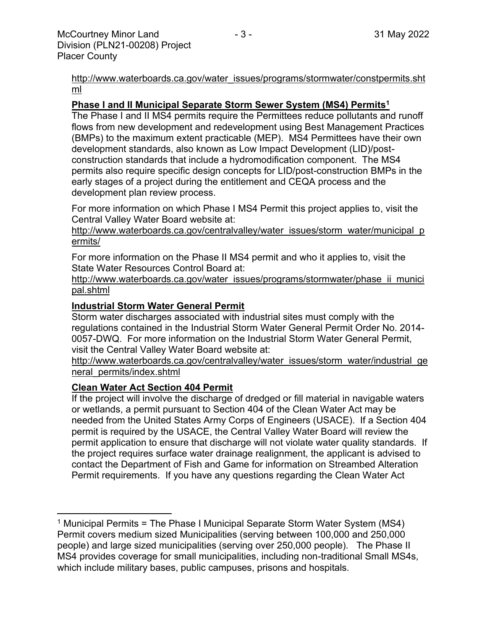[http://www.waterboards.ca.gov/water\\_issues/programs/stormwater/constpermits.sht](http://www.waterboards.ca.gov/water_issues/programs/stormwater/constpermits.shtml) [ml](http://www.waterboards.ca.gov/water_issues/programs/stormwater/constpermits.shtml)

## **Phase I and II Municipal Separate Storm Sewer System (MS4) Permits<sup>1</sup>**

The Phase I and II MS4 permits require the Permittees reduce pollutants and runoff flows from new development and redevelopment using Best Management Practices (BMPs) to the maximum extent practicable (MEP). MS4 Permittees have their own development standards, also known as Low Impact Development (LID)/postconstruction standards that include a hydromodification component. The MS4 permits also require specific design concepts for LID/post-construction BMPs in the early stages of a project during the entitlement and CEQA process and the development plan review process.

For more information on which Phase I MS4 Permit this project applies to, visit the Central Valley Water Board website at:

http://www.waterboards.ca.gov/centralvalley/water\_issues/storm\_water/municipal\_p ermits/

For more information on the Phase II MS4 permit and who it applies to, visit the State Water Resources Control Board at:

http://www.waterboards.ca.gov/water\_issues/programs/stormwater/phase\_ii\_munici pal.shtml

## **Industrial Storm Water General Permit**

Storm water discharges associated with industrial sites must comply with the regulations contained in the Industrial Storm Water General Permit Order No. 2014- 0057-DWQ. For more information on the Industrial Storm Water General Permit, visit the Central Valley Water Board website at:

http://www.waterboards.ca.gov/centralvalley/water\_issues/storm\_water/industrial\_ge neral\_permits/index.shtml

## **Clean Water Act Section 404 Permit**

If the project will involve the discharge of dredged or fill material in navigable waters or wetlands, a permit pursuant to Section 404 of the Clean Water Act may be needed from the United States Army Corps of Engineers (USACE). If a Section 404 permit is required by the USACE, the Central Valley Water Board will review the permit application to ensure that discharge will not violate water quality standards. If the project requires surface water drainage realignment, the applicant is advised to contact the Department of Fish and Game for information on Streambed Alteration Permit requirements. If you have any questions regarding the Clean Water Act

<sup>&</sup>lt;sup>1</sup> Municipal Permits = The Phase I Municipal Separate Storm Water System (MS4) Permit covers medium sized Municipalities (serving between 100,000 and 250,000 people) and large sized municipalities (serving over 250,000 people). The Phase II MS4 provides coverage for small municipalities, including non-traditional Small MS4s, which include military bases, public campuses, prisons and hospitals.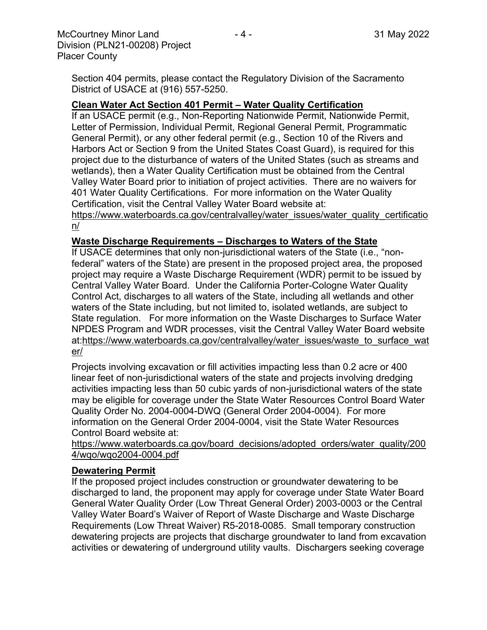Section 404 permits, please contact the Regulatory Division of the Sacramento District of USACE at (916) 557-5250.

## **Clean Water Act Section 401 Permit – Water Quality Certification**

If an USACE permit (e.g., Non-Reporting Nationwide Permit, Nationwide Permit, Letter of Permission, Individual Permit, Regional General Permit, Programmatic General Permit), or any other federal permit (e.g., Section 10 of the Rivers and Harbors Act or Section 9 from the United States Coast Guard), is required for this project due to the disturbance of waters of the United States (such as streams and wetlands), then a Water Quality Certification must be obtained from the Central Valley Water Board prior to initiation of project activities. There are no waivers for 401 Water Quality Certifications. For more information on the Water Quality Certification, visit the Central Valley Water Board website at:

https://www.waterboards.ca.gov/centralvalley/water\_issues/water\_quality\_certificatio n/

## **Waste Discharge Requirements – Discharges to Waters of the State**

If USACE determines that only non-jurisdictional waters of the State (i.e., "nonfederal" waters of the State) are present in the proposed project area, the proposed project may require a Waste Discharge Requirement (WDR) permit to be issued by Central Valley Water Board. Under the California Porter-Cologne Water Quality Control Act, discharges to all waters of the State, including all wetlands and other waters of the State including, but not limited to, isolated wetlands, are subject to State regulation. For more information on the Waste Discharges to Surface Water NPDES Program and WDR processes, visit the Central Valley Water Board website at:https://www.waterboards.ca.gov/centralvalley/water\_issues/waste\_to\_surface\_wat er/

Projects involving excavation or fill activities impacting less than 0.2 acre or 400 linear feet of non-jurisdictional waters of the state and projects involving dredging activities impacting less than 50 cubic yards of non-jurisdictional waters of the state may be eligible for coverage under the State Water Resources Control Board Water Quality Order No. 2004-0004-DWQ (General Order 2004-0004). For more information on the General Order 2004-0004, visit the State Water Resources Control Board website at:

https://www.waterboards.ca.gov/board\_decisions/adopted\_orders/water\_quality/200 4/wqo/wqo2004-0004.pdf

## **Dewatering Permit**

If the proposed project includes construction or groundwater dewatering to be discharged to land, the proponent may apply for coverage under State Water Board General Water Quality Order (Low Threat General Order) 2003-0003 or the Central Valley Water Board's Waiver of Report of Waste Discharge and Waste Discharge Requirements (Low Threat Waiver) R5-2018-0085. Small temporary construction dewatering projects are projects that discharge groundwater to land from excavation activities or dewatering of underground utility vaults. Dischargers seeking coverage